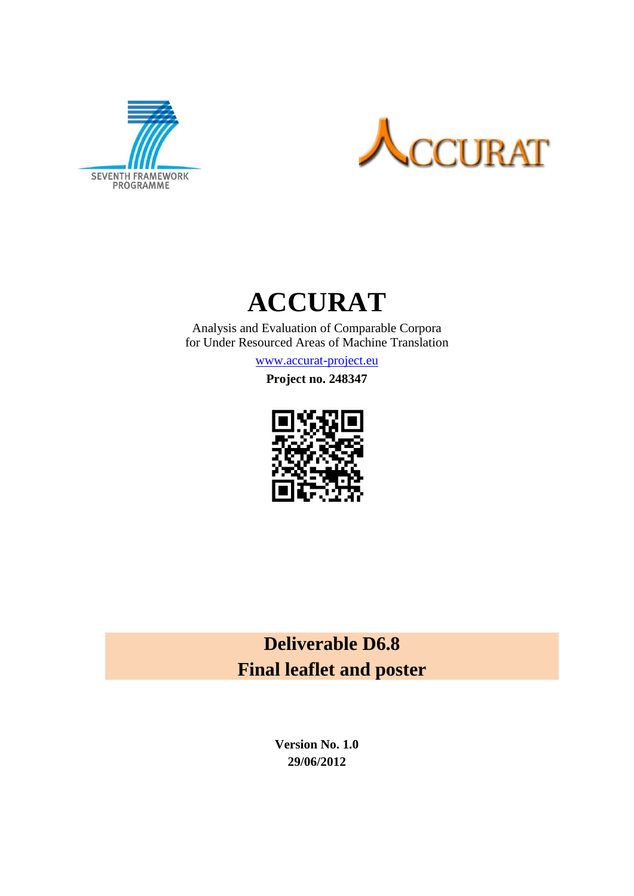





Analysis and Evaluation of Comparable Corpora for Under Resourced Areas of Machine Translation

[www.accurat-project.eu](http://www.accurat-project.eu/)

**Project no. 248347**



**Deliverable D6.8 Final leaflet and poster**

> **Version No. 1.0 29/06/2012**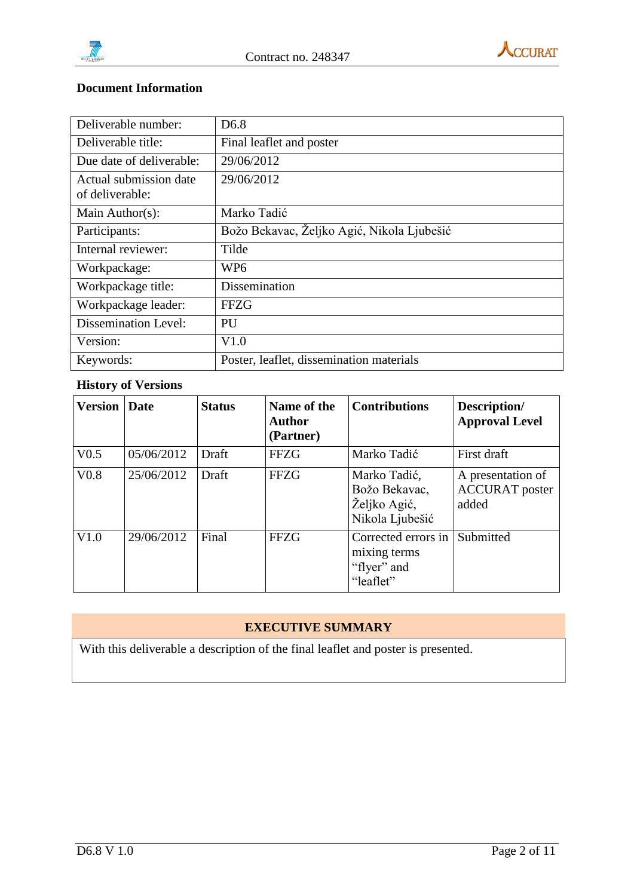



# **Document Information**

| Deliverable number:                       | D <sub>6.8</sub>                           |
|-------------------------------------------|--------------------------------------------|
| Deliverable title:                        | Final leaflet and poster                   |
| Due date of deliverable:                  | 29/06/2012                                 |
| Actual submission date<br>of deliverable: | 29/06/2012                                 |
| Main Author(s):                           | Marko Tadić                                |
| Participants:                             | Božo Bekavac, Željko Agić, Nikola Ljubešić |
| Internal reviewer:                        | Tilde                                      |
| Workpackage:                              | WP <sub>6</sub>                            |
| Workpackage title:                        | <b>Dissemination</b>                       |
| Workpackage leader:                       | <b>FFZG</b>                                |
| <b>Dissemination Level:</b>               | PU                                         |
| Version:                                  | V1.0                                       |
| Keywords:                                 | Poster, leaflet, dissemination materials   |

# **History of Versions**

| <b>Version</b> Date |            | <b>Status</b> | Name of the<br><b>Author</b><br>(Partner) | <b>Contributions</b>                                             | Description/<br><b>Approval Level</b>               |
|---------------------|------------|---------------|-------------------------------------------|------------------------------------------------------------------|-----------------------------------------------------|
| V <sub>0.5</sub>    | 05/06/2012 | Draft         | <b>FFZG</b>                               | Marko Tadić                                                      | First draft                                         |
| V <sub>0.8</sub>    | 25/06/2012 | Draft         | <b>FFZG</b>                               | Marko Tadić,<br>Božo Bekavac,<br>Željko Agić,<br>Nikola Ljubešić | A presentation of<br><b>ACCURAT</b> poster<br>added |
| V1.0                | 29/06/2012 | Final         | <b>FFZG</b>                               | Corrected errors in<br>mixing terms<br>"flyer" and<br>"leaflet"  | Submitted                                           |

# **EXECUTIVE SUMMARY**

With this deliverable a description of the final leaflet and poster is presented.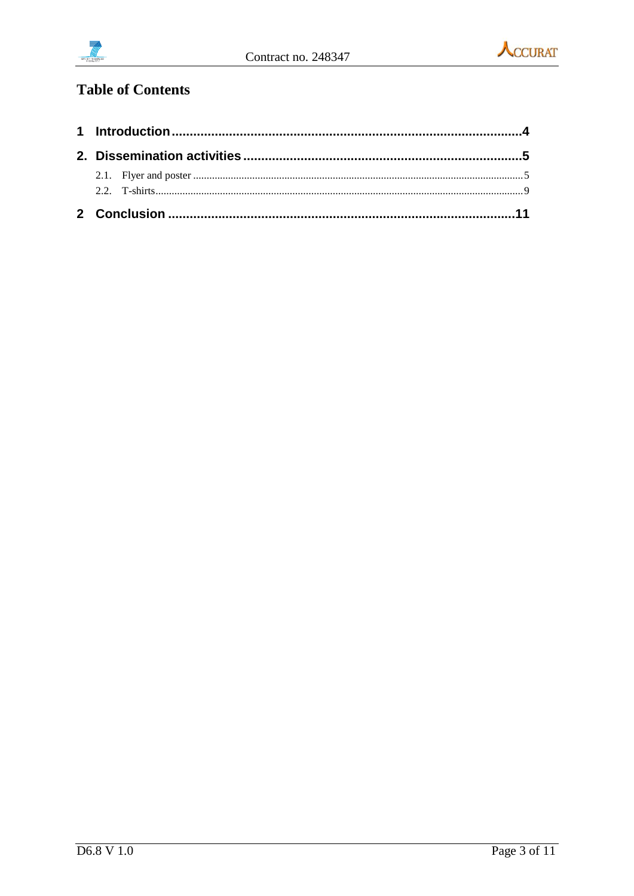



# **Table of Contents**

| 2.2 $T\text{-shirts}$ 9 |  |  |  |  |
|-------------------------|--|--|--|--|
|                         |  |  |  |  |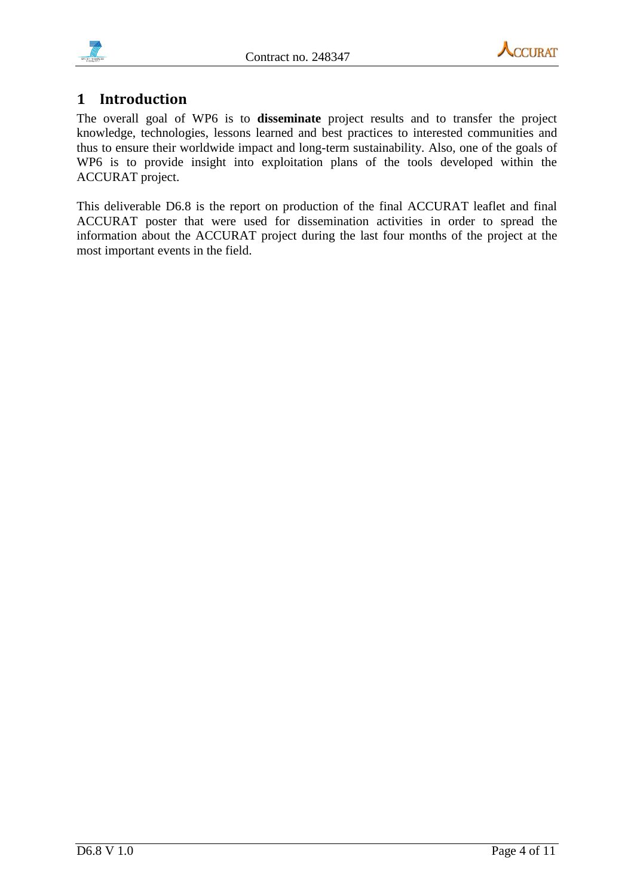



# <span id="page-3-0"></span>**1 Introduction**

The overall goal of WP6 is to **disseminate** project results and to transfer the project knowledge, technologies, lessons learned and best practices to interested communities and thus to ensure their worldwide impact and long-term sustainability. Also, one of the goals of WP6 is to provide insight into exploitation plans of the tools developed within the ACCURAT project.

This deliverable D6.8 is the report on production of the final ACCURAT leaflet and final ACCURAT poster that were used for dissemination activities in order to spread the information about the ACCURAT project during the last four months of the project at the most important events in the field.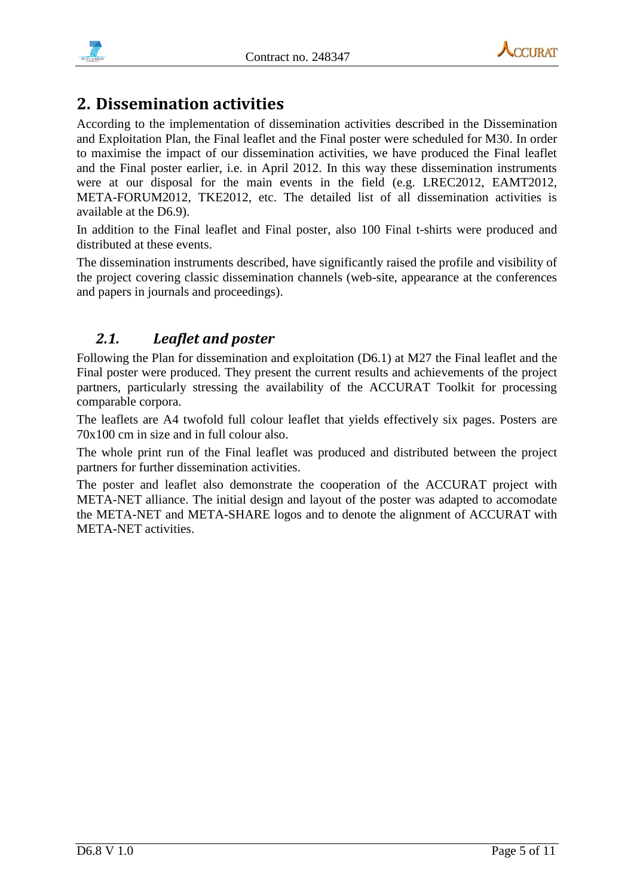



# <span id="page-4-0"></span>**2. Dissemination activities**

According to the implementation of dissemination activities described in the Dissemination and Exploitation Plan, the Final leaflet and the Final poster were scheduled for M30. In order to maximise the impact of our dissemination activities, we have produced the Final leaflet and the Final poster earlier, i.e. in April 2012. In this way these dissemination instruments were at our disposal for the main events in the field (e.g. LREC2012, EAMT2012, META-FORUM2012, TKE2012, etc. The detailed list of all dissemination activities is available at the D6.9).

In addition to the Final leaflet and Final poster, also 100 Final t-shirts were produced and distributed at these events.

The dissemination instruments described, have significantly raised the profile and visibility of the project covering classic dissemination channels (web-site, appearance at the conferences and papers in journals and proceedings).

# <span id="page-4-1"></span>*2.1. Leaflet and poster*

Following the Plan for dissemination and exploitation (D6.1) at M27 the Final leaflet and the Final poster were produced. They present the current results and achievements of the project partners, particularly stressing the availability of the ACCURAT Toolkit for processing comparable corpora.

The leaflets are A4 twofold full colour leaflet that yields effectively six pages. Posters are 70x100 cm in size and in full colour also.

The whole print run of the Final leaflet was produced and distributed between the project partners for further dissemination activities.

The poster and leaflet also demonstrate the cooperation of the ACCURAT project with META-NET alliance. The initial design and layout of the poster was adapted to accomodate the META-NET and META-SHARE logos and to denote the alignment of ACCURAT with META-NET activities.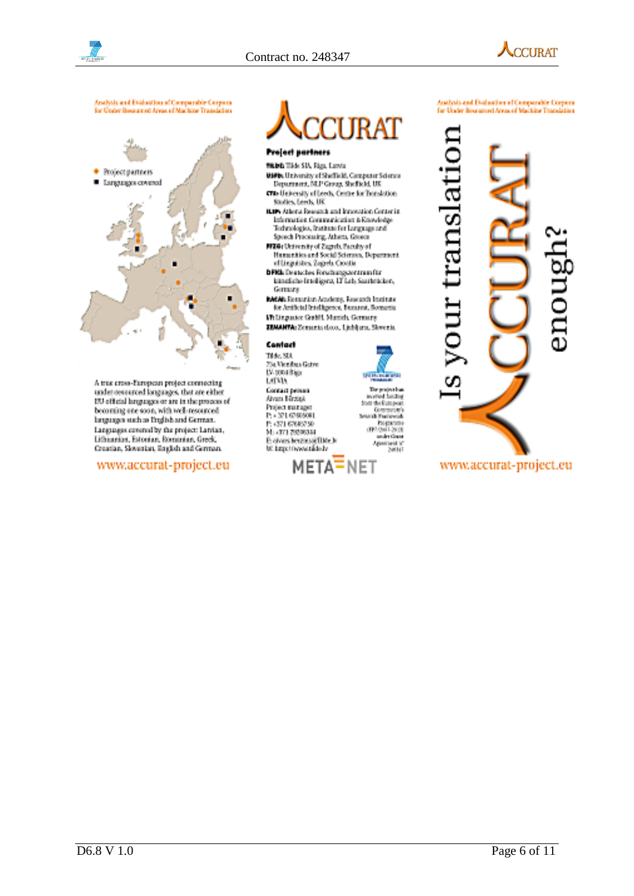



Analysis and Evaluation of Comparable Corpora<br>for Under Researced Areas of Machine Translation



A true cross-European project connecting<br>under resourced longuages, that are either ITU official languages or are in the process of becoming one soon, with well resourced languages such as English and German. Languages covered by the project: Larvian, Lithianian, Estonian, Romanian, Greek, Creatian, Slovenian, English and German.

## www.accurat-project.eu



Project partners

- WARD THIS SIA, Figs. Lowin.
- **USFIN** University of Sheffield, Computer Science<br>Department, NLP Group, Sheffield, UK crus University of Leeds, Centre for Translation Studies, Leeds, UK
- HAPs Athera, Research and Innovation Center in Information Communication & Enoutedge Technologies, Institute for Language and<br>Speech Processing, Athens, Greece
- NIXA: University of Zagrab, Paculty of Hamanities and Social Sciences, Department<br>of Linguistics, Zagreb. Coostie
- **DFRI** Deutsches Forschungszerunun für<br>Innehiche Intelligenz, LT Lab, Sauchstichen, Germany
- **BACAI**s Recursion Academy, Research Institute<br>For Artificial Initial Agency, Buseauch, Bornarda Willingarier Gulff, Musich, Germany
- ZEMANIVA: Zemania dozo, Ljubljana, Slovenia.

#### Contact Tide, SDL

75a Vienfors Gaire U4 topa kiga. LCDA. Contact person Airan Birzipi Project manager<br>P: + 371,6760,9001 P: +371 67665750 M: 4171 20200344 El civers betzlies@IDde.b



The project has a hadiag

more of funding<br>Store the European

Computers)<br>Demonstrate<br>Demonstrate<br>Process (2013)<br>Annalysis (2013)<br>Annalysis (2014)<br>Annalysis (2014)

# Analysis and Evaluation of Comparable Corpora<br>for Urate Rosemont Areas of Machine Translation

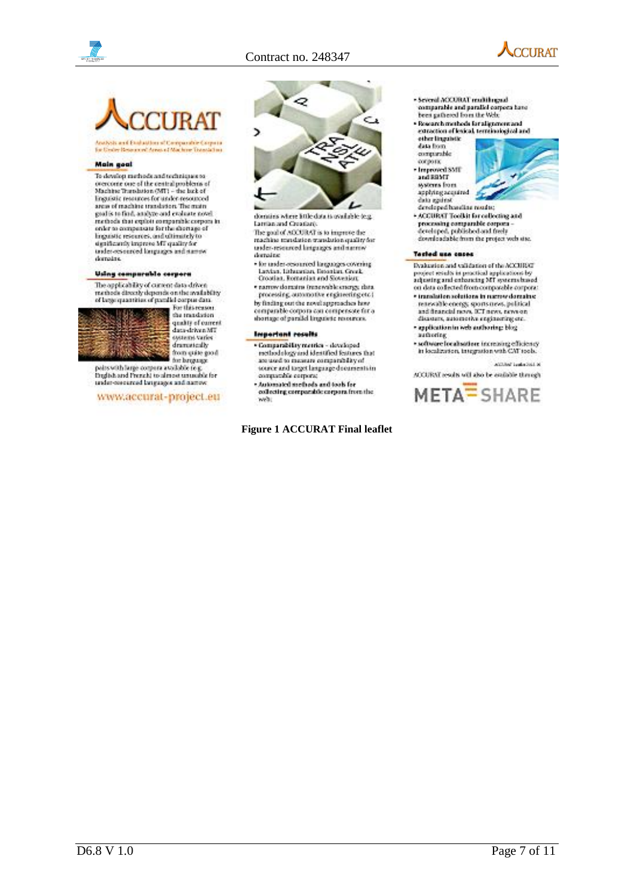



ysts and Englastion of Comparable Corpora<br>Inder Resourced Areas of Machine Translation

#### **Main goal**

To develop methods and techniques to overcome one of the central problems of<br>Machine Translation (MT1 – the lack of<br>linguistic resources for under-resourced area of machine translators. The main goal is to find, analyze and evaluate novel.<br>methods that exploit comparable corpora in onler to compensate for the shortage of linguistic researces, and ultimately to significantly improve MT quality for under-resourced longuages and namewi domains.

#### Using comparable corpora

The opplicability of current data driven<br>mathedity they<br>ends on the mailability of length strainer from the condition of parallel corpor data.<br> $For this reason,$ 



the translation<br>quality of current data-driven MT<br>systems varies dramatedly from quite good.

our space good<br>points with large compare a worldble reg.<br>English and Prezent to almost unusuable for<br>under-concerned languages and names:

www.accurat-project.eu



domins where little data is available (e.g.) Lamian and Creatian

The goal of ACCURAT is to improve the machine mandation translation quality for under-researced languages and narrow dortoine

- the under-resourced larguages covering<br>Lawian, Lithuacian, Basarian, Grouk<br>Crootian, Romanian and Slovenian;
- · narrow domains (renewable energy data. processing, automotive engineering etc.)

by finding out the novel approaches how comparable como ra con compensate for a shortage of parallel linguistic resources.

#### **Important results**

- $\label{lem:main} \begin{array}{ll} \bullet \textbf{Comparability metric} & \textbf{devological} \\ \textbf{method} & \textbf{log} \\ \textbf{are used to measure compatibility of} \end{array}$ source and torget language documents in compacible corpora;
- · Automated methods and tools for<br>collecting comparable corpora from the
- whi

### **Figure 1 ACCURAT Final leaflet**

- Several ACCURAT multilingual comparable and parallel corpora have bees gathered from the Web:
- Research methods for alignment and<br>- extection of lexical terminological and
- ether linguistic
- data from comparable
- охротк
- · Improved SMT
- systems from hatians said data **Jentings** citals
- 
- developed handles mostre. · ACCURAT Toolkit for collecting and processing comparable corpora -<br>developed, published and freely<br>downloadable from the project vels site.
- 

#### Tosted use cases

Dealerston and validation of the ACCURECT project results in proctical applications by<br>adjusting and enhancing MT systems based<br>on data collected from comparable corpora:

- · translation solutions in names domains: resewable energy, sports news, political and financial range. ICT news, range on disasters, automotive engineering etc.
- · application in web authoring: blog
- authoring. software localisation increasing efficiency<br>in localization, trangeation with CMT tools.
	- ANOTHER Seates Sold by

ACCURAT results will also be available through

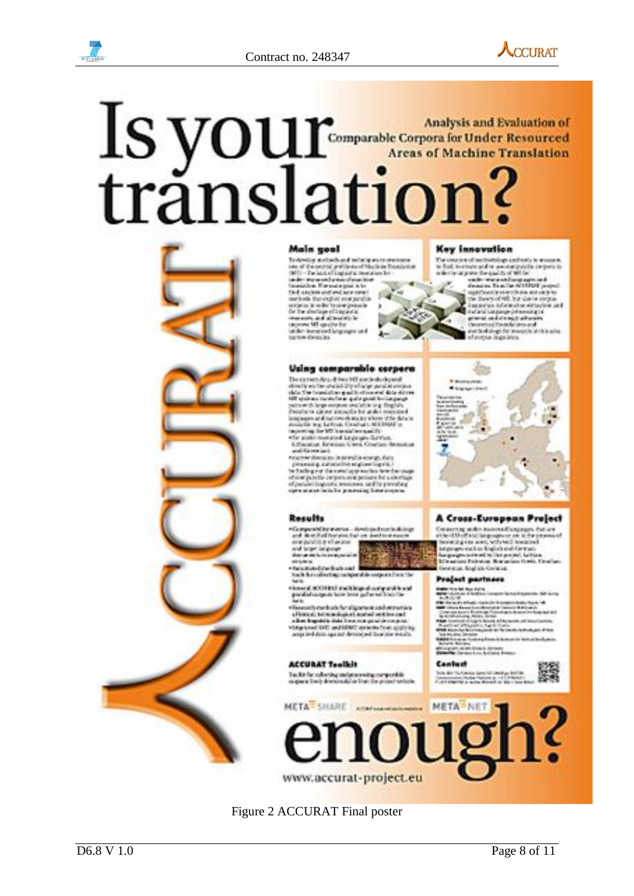

# Is your Analysis and Evaluation of<br>Comparable Corpora for Under Resourced<br>Areas of Machine Translation



Main 1991<br>
Indian and Philadelphia Bandeles<br>
Sil - Texas Signification Bandeles<br>
Sil - Texas Signification<br>
Texas Signification<br>
Signification<br>
Signification<br>
Texas of direction<br>
Signification<br>
Signification<br>
Signification

#### **Key Innovation**

The constitution of mechanistic graphically to measure to find the constructed in measure graphics in the graphic of  $\mathbf{M}$  for

### Using comparable corpora

Widthy comparation compared to the stress of the compared the stress of the stress of the stress of the stress of the stress of the stress of the stress of the stress of the stress of the stress of the stress of the stress

neurose domains brannel la stange, date

 $\label{eq:convergence} \begin{small} \texttt{if} & \texttt{if} & \texttt{if} & \texttt{if} & \texttt{if} & \texttt{if} & \texttt{if} & \texttt{if} \\ \texttt{if} & \texttt{if} & \texttt{if} & \texttt{if} & \texttt{if} & \texttt{if} & \texttt{if} & \texttt{if} \\ \texttt{if} & \texttt{if} & \texttt{if} & \texttt{if} & \texttt{if} & \texttt{if} & \texttt{if} & \texttt{if} \\ \texttt{if} & \texttt{if} & \texttt{if} & \texttt{if} & \texttt{if} & \texttt{$ 

thick is collecting proportive corporation the<br>Note

thereof at OTRAT and high player parallel and<br>parallel corporation in the primary production of<br>the h

The main result of the digement and entropies<br>affective of the state of the state of the state of the state<br>of the logarithm did for the state of the state of the state<br>of the state of the state of the state of the state<br>a

#### **ACCURAT Teolkit**

Techt für edischig and processing europeetide<br>magnes finde disclosable finde für proper website



#### Cambash

Vice des Hurfmann George Hermann (1979)<br>Jacques Hurfmann (1989)<br>Jacques Holland (1989) en 1989 (1989)





# Figure 2 ACCURAT Final poster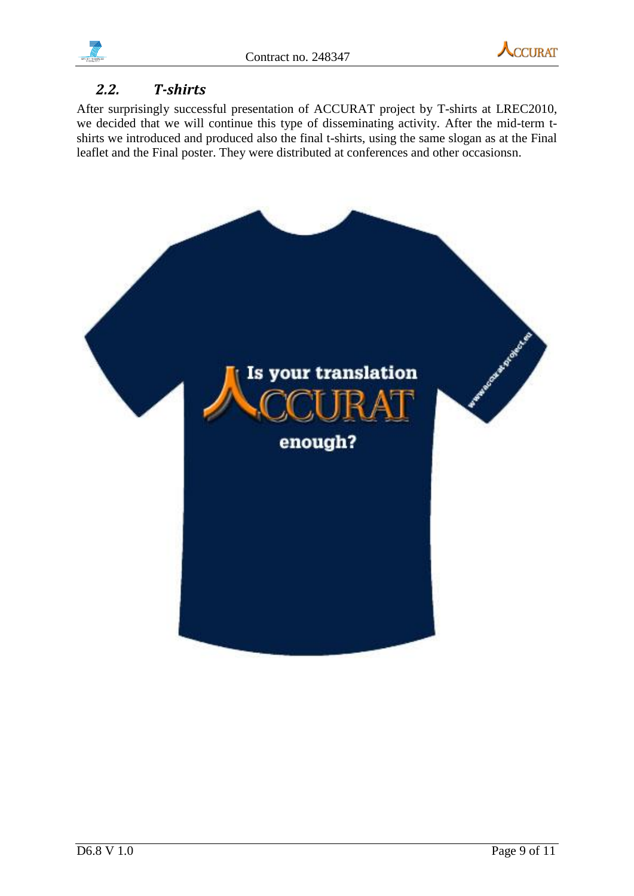

# <span id="page-8-0"></span>*2.2. T-shirts*

After surprisingly successful presentation of ACCURAT project by T-shirts at LREC2010, we decided that we will continue this type of disseminating activity. After the mid-term tshirts we introduced and produced also the final t-shirts, using the same slogan as at the Final leaflet and the Final poster. They were distributed at conferences and other occasionsn.

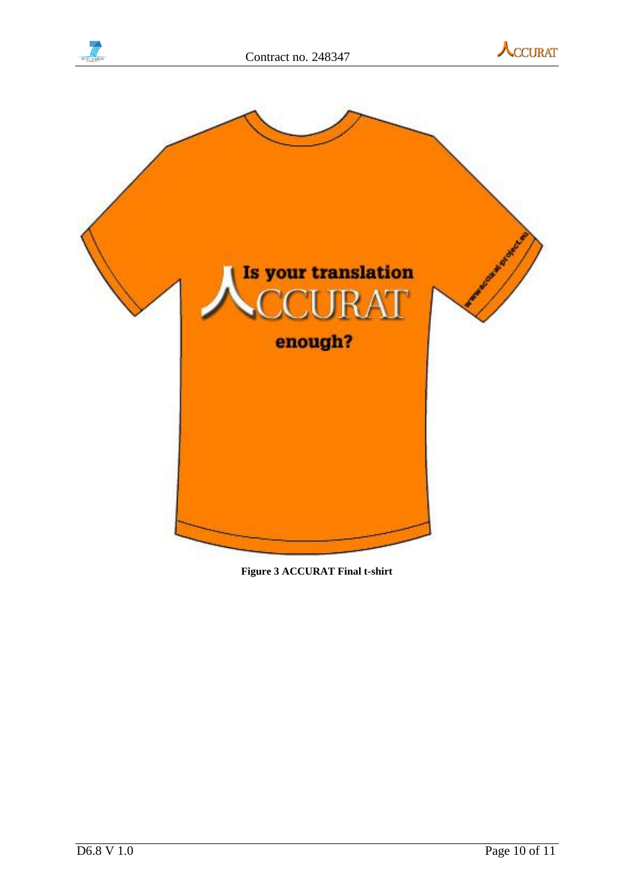





**Figure 3 ACCURAT Final t-shirt**